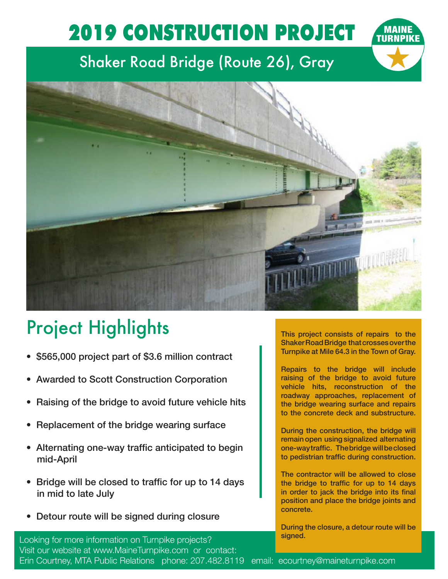## 2019 CONSTRUCTION PROJECT

## Shaker Road Bridge (Route 26), Gray



## Project Highlights

- \$565,000 project part of \$3.6 million contract
- Awarded to Scott Construction Corporation
- Raising of the bridge to avoid future vehicle hits
- Replacement of the bridge wearing surface
- Alternating one-way traffic anticipated to begin mid-April
- Bridge will be closed to traffic for up to 14 days in mid to late July
- Detour route will be signed during closure

This project consists of repairs to the Shaker Road Bridge that crosses over the Turnpike at Mile 64.3 in the Town of Gray.

Repairs to the bridge will include raising of the bridge to avoid future vehicle hits, reconstruction of the roadway approaches, replacement of the bridge wearing surface and repairs to the concrete deck and substructure.

During the construction, the bridge will remain open using signalized alternating one-way traffic. The bridge will be closed to pedistrian traffic during construction.

The contractor will be allowed to close the bridge to traffic for up to 14 days in order to jack the bridge into its final position and place the bridge joints and concrete.

During the closure, a detour route will be signed.

Looking for more information on Turnpike projects? Visit our website at www.MaineTurnpike.com or contact: Erin Courtney, MTA Public Relations phone: 207.482.8119 email: ecourtney@maineturnpike.com